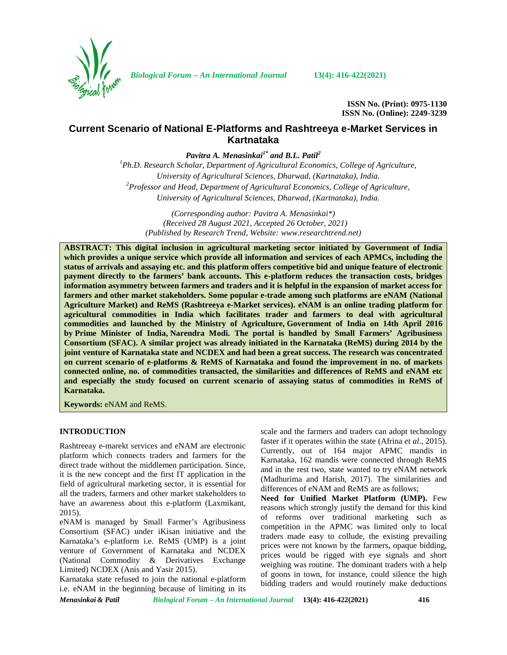

*Biological Forum – An International Journal* **13(4): 416-422(2021)**

**ISSN No. (Print): 0975-1130 ISSN No. (Online): 2249-3239**

# **Current Scenario of National E-Platforms and Rashtreeya e-Market Services in Kartnataka**

*Pavitra A. Menasinkai1\* and B.L. Patil<sup>2</sup>*

*<sup>1</sup>Ph.D. Research Scholar, Department of Agricultural Economics, College of Agriculture, University of Agricultural Sciences, Dharwad, (Kartnataka), India. <sup>2</sup>Professor and Head, Department of Agricultural Economics, College of Agriculture, University of Agricultural Sciences, Dharwad, (Kartnataka), India.*

*(Corresponding author: Pavitra A. Menasinkai\*) (Received 28 August 2021, Accepted 26 October, 2021) (Published by Research Trend, Website: [www.researchtrend.net\)](www.researchtrend.net)*

**ABSTRACT: This digital inclusion in agricultural marketing sector initiated by Government of India which provides a unique service which provide all information and services of each APMCs, including the status of arrivals and assaying etc. and this platform offers competitive bid and unique feature of electronic payment directly to the farmers' bank accounts. This e-platform reduces the transaction costs, bridges information asymmetry between farmers and traders and it is helpful in the expansion of market access for farmers and other market stakeholders. Some popular e-trade among such platforms are eNAM (National Agriculture Market) and ReMS (Rashtreeya e-Market services). eNAM is an online trading platform for agricultural commodities in India which facilitates trader and farmers to deal with agricultural commodities and launched by the Ministry of Agriculture, Government of India on 14th April 2016 by Prime Minister of India, Narendra Modi. The portal is handled by Small Farmers' Agribusiness Consortium (SFAC). A similar project was already initiated in the Karnataka (ReMS) during 2014 by the joint venture of Karnataka state and NCDEX and had been a great success. The research was concentrated on current scenario of e-platforms & ReMS of Karnataka and found the improvement in no. of markets connected online, no. of commodities transacted, the similarities and differences of ReMS and eNAM etc and especially the study focused on current scenario of assaying status of commodities in ReMS of Karnataka.**

**Keywords:** eNAM and ReMS.

## **INTRODUCTION**

Rashtreeay e-marekt services and eNAM are electronic platform which connects traders and farmers for the direct trade without the middlemen participation. Since, it is the new concept and the first IT application in the field of agricultural marketing sector, it is essential for all the traders, farmers and other market stakeholders to have an awareness about this e-platform (Laxmikant, 2015).

eNAM is managed by Small Farmer's Agribusiness Consortium (SFAC) under iKisan initiative and the Karnataka's e-platform i.e. ReMS (UMP) is a joint venture of Government of Karnataka and NCDEX (National Commodity & Derivatives Exchange Limited) NCDEX (Anis and Yasir 2015).

Karnataka state refused to join the national e-platform i.e. eNAM in the beginning because of limiting in its

scale and the farmers and traders can adopt technology faster if it operates within the state (Afrina *et al*., 2015). Currently, out of 164 major APMC mandis in Karnataka, 162 mandis were connected through ReMS and in the rest two, state wanted to try eNAM network (Madhurima and Harish, 2017). The similarities and differences of eNAM and ReMS are as follows;

**Need for Unified Market Platform (UMP).** Few reasons which strongly justify the demand for this kind of reforms over traditional marketing such as competition in the APMC was limited only to local traders made easy to collude, the existing prevailing prices were not known by the farmers, opaque bidding, prices would be rigged with eye signals and short weighing was routine. The dominant traders with a help of goons in town, for instance, could silence the high bidding traders and would routinely make deductions

*Menasinkai & Patil Biological Forum – An International Journal* **13(4): 416-422(2021) 416**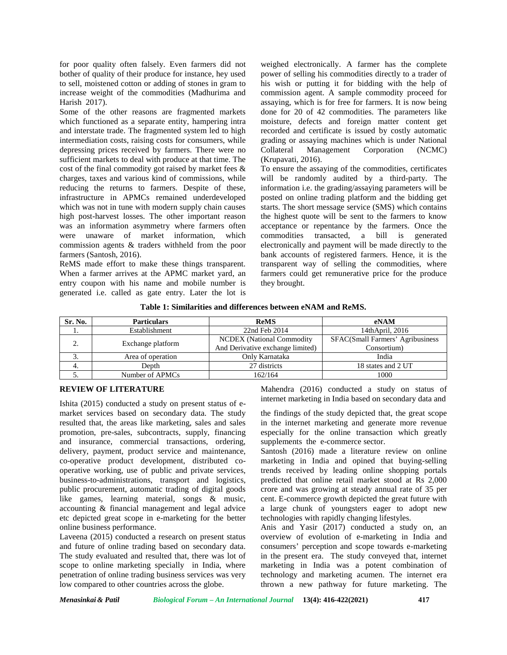for poor quality often falsely. Even farmers did not bother of quality of their produce for instance, hey used to sell, moistened cotton or adding of stones in gram to increase weight of the commodities (Madhurima and Harish 2017).

Some of the other reasons are fragmented markets which functioned as a separate entity, hampering intra and interstate trade. The fragmented system led to high intermediation costs, raising costs for consumers, while depressing prices received by farmers. There were no Collateral sufficient markets to deal with produce at that time. The cost of the final commodity got raised by market fees & charges, taxes and various kind of commissions, while reducing the returns to farmers. Despite of these, infrastructure in APMCs remained underdeveloped which was not in tune with modern supply chain causes high post-harvest losses. The other important reason was an information asymmetry where farmers often were unaware of market information, which commission agents & traders withheld from the poor farmers (Santosh, 2016).

ReMS made effort to make these things transparent. When a farmer arrives at the APMC market yard, an entry coupon with his name and mobile number is generated i.e. called as gate entry. Later the lot is

weighed electronically. A farmer has the complete power of selling his commodities directly to a trader of his wish or putting it for bidding with the help of commission agent. A sample commodity proceed for assaying, which is for free for farmers. It is now being done for 20 of 42 commodities. The parameters like moisture, defects and foreign matter content get recorded and certificate is issued by costly automatic grading or assaying machines which is under National Management Corporation (NCMC) (Krupavati, 2016).

To ensure the assaying of the commodities, certificates will be randomly audited by a third-party. The information i.e. the grading/assaying parameters will be posted on online trading platform and the bidding get starts. The short message service (SMS) which contains the highest quote will be sent to the farmers to know acceptance or repentance by the farmers. Once the commodities transacted, a bill is generated electronically and payment will be made directly to the bank accounts of registered farmers. Hence, it is the transparent way of selling the commodities, where farmers could get remunerative price for the produce they brought.

| Table 1: Similarities and differences between eNAM and ReMS. |  |
|--------------------------------------------------------------|--|
|--------------------------------------------------------------|--|

| Sr. No.                 | <b>Particulars</b>                | <b>ReMS</b>                      | eNAM                             |  |
|-------------------------|-----------------------------------|----------------------------------|----------------------------------|--|
| . .                     | 22nd Feb 2014<br>Establishment    |                                  | 14thApril, 2016                  |  |
|                         | <b>NCDEX</b> (National Commodity) |                                  | SFAC(Small Farmers' Agribusiness |  |
| Exchange platform<br>٠. |                                   | And Derivative exchange limited) | Consortium)                      |  |
| J.                      | Area of operation                 | Only Karnataka                   | India                            |  |
| 4.                      | Depth                             | 27 districts                     | 18 states and 2 UT               |  |
| J.                      | Number of APMCs                   | 162/164                          | 1000                             |  |

# **REVIEW OF LITERATURE**

Ishita (2015) conducted a study on present status of e market services based on secondary data. The study resulted that, the areas like marketing, sales and sales promotion, pre-sales, subcontracts, supply, financing and insurance, commercial transactions, ordering, delivery, payment, product service and maintenance, co-operative product development, distributed co operative working, use of public and private services, business-to-administrations, transport and logistics, public procurement, automatic trading of digital goods like games, learning material, songs & music, accounting & financial management and legal advice etc depicted great scope in e-marketing for the better online business performance.

Laveena (2015) conducted a research on present status and future of online trading based on secondary data. The study evaluated and resulted that, there was lot of scope to online marketing specially in India, where penetration of online trading business services was very low compared to other countries across the globe.

Mahendra (2016) conducted a study on status of internet marketing in India based on secondary data and

the findings of the study depicted that, the great scope in the internet marketing and generate more revenue especially for the online transaction which greatly supplements the e-commerce sector.

Santosh (2016) made a literature review on online marketing in India and opined that buying-selling trends received by leading online shopping portals predicted that online retail market stood at Rs 2,000 crore and was growing at steady annual rate of 35 per cent. E-commerce growth depicted the great future with a large chunk of youngsters eager to adopt new technologies with rapidly changing lifestyles.

Anis and Yasir (2017) conducted a study on, an overview of evolution of e-marketing in India and consumers' perception and scope towards e-marketing in the present era. The study conveyed that, internet marketing in India was a potent combination of technology and marketing acumen. The internet era thrown a new pathway for future marketing. The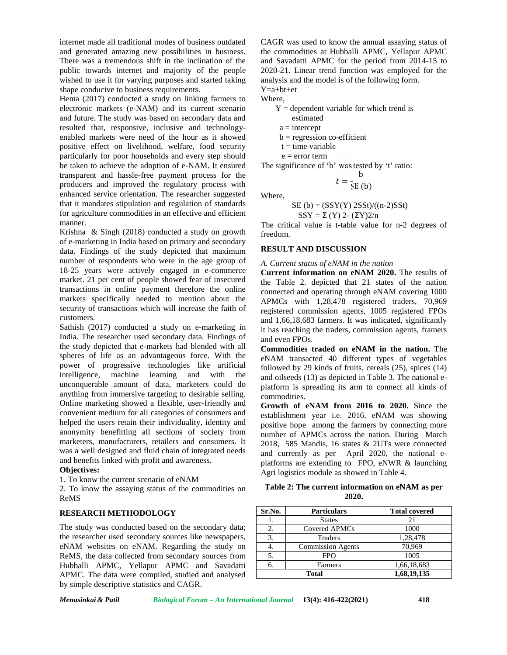internet made all traditional modes of business outdated and generated amazing new possibilities in business. There was a tremendous shift in the inclination of the public towards internet and majority of the people wished to use it for varying purposes and started taking shape conducive to business requirements.

Hema (2017) conducted a study on linking farmers to electronic markets (e-NAM) and its current scenario and future. The study was based on secondary data and resulted that, responsive, inclusive and technology enabled markets were need of the hour as it showed positive effect on livelihood, welfare, food security particularly for poor households and every step should be taken to achieve the adoption of e-NAM. It ensured transparent and hassle-free payment process for the producers and improved the regulatory process with enhanced service orientation. The researcher suggested that it mandates stipulation and regulation of standards for agriculture commodities in an effective and efficient manner.

Krishna & Singh (2018) conducted a study on growth of e-marketing in India based on primary and secondary data. Findings of the study depicted that maximum number of respondents who were in the age group of 18-25 years were actively engaged in e-commerce market. 21 per cent of people showed fear of insecured transactions in online payment therefore the online markets specifically needed to mention about the security of transactions which will increase the faith of customers.

Sathish (2017) conducted a study on e-marketing in India. The researcher used secondary data. Findings of the study depicted that e-markets had blended with all spheres of life as an advantageous force. With the power of progressive technologies like artificial intelligence, machine learning and with the unconquerable amount of data, marketers could do anything from immersive targeting to desirable selling. Online marketing showed a flexible, user-friendly and convenient medium for all categories of consumers and helped the users retain their individuality, identity and anonymity benefitting all sections of society from marketers, manufacturers, retailers and consumers. It was a well designed and fluid chain of integrated needs and benefits linked with profit and awareness.

## **Objectives:**

1. To know the current scenario of eNAM

2. To know the assaying status of the commodities on ReMS

## **RESEARCH METHODOLOGY**

The study was conducted based on the secondary data; the researcher used secondary sources like newspapers, eNAM websites on eNAM. Regarding the study on ReMS, the data collected from secondary sources from Hubballi APMC, Yellapur APMC and Savadatti APMC. The data were compiled, studied and analysed by simple descriptive statistics and CAGR.

CAGR was used to know the annual assaying status of the commodities at Hubballi APMC, Yellapur APMC and Savadatti APMC for the period from 2014-15 to 2020-21. Linear trend function was employed for the analysis and the model is of the following form. Y=a+bt+et

Where,

 $Y =$  dependent variable for which trend is

estimated

 $a =$ intercept

 $b = regression co-efficient$ 

 $t =$  time variable

 $e = error term$ 

The significance of 'b' was tested by 't' ratio:

$$
t = \frac{b}{SE(b)}
$$

Where,

 $SE$  (b) =  $(SSY(Y)$  2SSt)/((n-2)SSt)

 $SSY = \Sigma(Y)$  2-  $(\Sigma Y)2/n$ 

The critical value is t-table value for n-2 degrees of freedom.

## **RESULT AND DISCUSSION**

#### *A. Current status of eNAM in the nation*

**Current information on eNAM 2020.** The results of the Table 2. depicted that 21 states of the nation connected and operating through eNAM covering 1000 APMCs with 1,28,478 registered traders, 70,969 registered commission agents, 1005 registered FPOs and 1,66,18,683 farmers. It was indicated, significantly it has reaching the traders, commission agents, framers and even FPOs.

**Commodities traded on eNAM in the nation.** The eNAM transacted 40 different types of vegetables followed by 29 kinds of fruits, cereals (25), spices (14) and oilseeds (13) as depicted in Table 3. The national e platform is spreading its arm to connect all kinds of commodities.

**Growth of eNAM from 2016 to 2020.** Since the establishment year i.e. 2016, eNAM was showing positive hope among the farmers by connecting more number of APMCs across the nation. During March 2018, 585 Mandis, 16 states & 2UTs were connected and currently as per April 2020, the national e platforms are extending to FPO, eNWR & launching Agri logistics module as showed in Table 4.

**Table 2: The current information on eNAM as per 2020.**

| Sr.No. | <b>Particulars</b>       | <b>Total covered</b> |
|--------|--------------------------|----------------------|
|        | <b>States</b>            | 21                   |
| 2.     | Covered APMCs            | 1000                 |
| 3.     | <b>Traders</b>           | 1,28,478             |
|        | <b>Commission Agents</b> | 70,969               |
| 5.     | <b>FPO</b>               | 1005                 |
| n      | Farmers                  | 1,66,18,683          |
|        | Total                    | 1,68,19,135          |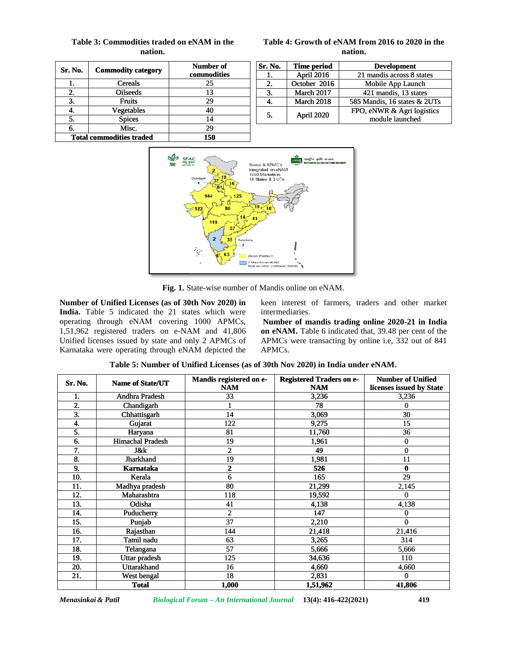| Sr. No. | <b>Commodity category</b>       | Number of<br>commodities |
|---------|---------------------------------|--------------------------|
|         | <b>Cereals</b>                  | 25                       |
| 2.      | <b>Oilseeds</b>                 | 13                       |
| 3.      | <b>Fruits</b>                   | 29                       |
|         | Vegetables                      | 40                       |
| 5.      | <b>Spices</b>                   | 14                       |
| 6.      | Misc.                           | 29                       |
|         | <b>Total commodities traded</b> | 150                      |

# **Table 3: Commodities traded on eNAM in the nation.**

# **Table 4: Growth of eNAM from 2016 to 2020 in the nation.**

| Sr. No.          | <b>Time period</b>                | <b>Development</b>                            |  |  |
|------------------|-----------------------------------|-----------------------------------------------|--|--|
| 1.               | April 2016                        | 21 mandis across 8 states                     |  |  |
| $\overline{2}$ . | October 2016<br>Mobile App Launch |                                               |  |  |
| 3.               | March 2017                        | 421 mandis, 13 states                         |  |  |
|                  | March 2018                        | 585 Mandis, 16 states & 2UTs                  |  |  |
| April 2020<br>5. |                                   | FPO, eNWR & Agri logistics<br>module launched |  |  |



**Fig. 1.** State-wise number of Mandis online on eNAM.

| Table 5: Number of Unified Licenses (as of 30th Nov 2020) in India under eNAM. |  |  |
|--------------------------------------------------------------------------------|--|--|
|                                                                                |  |  |

|                           | Table 3: Commodities traded on eNAM in the<br>nation.                                                                                                                                                                                                                                                                    |                                                                                                          |                                                                  |                                               | nation.                                                                                                                                                                                                                  |
|---------------------------|--------------------------------------------------------------------------------------------------------------------------------------------------------------------------------------------------------------------------------------------------------------------------------------------------------------------------|----------------------------------------------------------------------------------------------------------|------------------------------------------------------------------|-----------------------------------------------|--------------------------------------------------------------------------------------------------------------------------------------------------------------------------------------------------------------------------|
|                           |                                                                                                                                                                                                                                                                                                                          | Number of                                                                                                | Sr. No.                                                          | <b>Time period</b>                            | <b>Development</b>                                                                                                                                                                                                       |
| Sr. No.                   | <b>Commodity category</b>                                                                                                                                                                                                                                                                                                | commodities                                                                                              | 1.                                                               | April 2016                                    | 21 mandis across 8 states                                                                                                                                                                                                |
| 1.                        | Cereals                                                                                                                                                                                                                                                                                                                  | 25                                                                                                       | 2.                                                               | October 2016                                  | Mobile App Launch                                                                                                                                                                                                        |
| 2.                        | <b>Oilseeds</b>                                                                                                                                                                                                                                                                                                          | 13                                                                                                       | 3.                                                               | March 2017                                    | 421 mandis, 13 states                                                                                                                                                                                                    |
| 3.                        | Fruits                                                                                                                                                                                                                                                                                                                   | 29                                                                                                       | 4.                                                               | March 2018                                    | 585 Mandis, 16 states & 2UTs                                                                                                                                                                                             |
| 4.                        | Vegetables                                                                                                                                                                                                                                                                                                               | 40                                                                                                       | 5.                                                               | April 2020                                    | FPO, eNWR & Agri logistics                                                                                                                                                                                               |
| 5.                        | <b>Spices</b>                                                                                                                                                                                                                                                                                                            | 14                                                                                                       |                                                                  |                                               | module launched                                                                                                                                                                                                          |
| 6.                        | Misc.                                                                                                                                                                                                                                                                                                                    | 29                                                                                                       |                                                                  |                                               |                                                                                                                                                                                                                          |
|                           | <b>Total commodities traded</b>                                                                                                                                                                                                                                                                                          | 150                                                                                                      |                                                                  |                                               |                                                                                                                                                                                                                          |
|                           |                                                                                                                                                                                                                                                                                                                          | 80<br>118<br>$\mathbf{z}$<br>33<br>Puduchen<br>h.<br>Fig. 1. State-wise number of Mandis online on eNAM. | NAM Platforn<br>2 Mandison cNAM<br>Rest on other platform (ReMS) |                                               |                                                                                                                                                                                                                          |
|                           | Number of Unified Licenses (as of 30th Nov 2020) in<br>India. Table 5 indicated the 21 states which were<br>operating through eNAM covering 1000 APMCs,<br>1,51,962 registered traders on e-NAM and 41,806<br>Unified licenses issued by state and only 2 APMCs of<br>Karnataka were operating through eNAM depicted the |                                                                                                          | intermediaries.<br>APMCs.                                        |                                               | keen interest of farmers, traders and other market<br>Number of mandis trading online 2020-21 in India<br>on eNAM. Table 6 indicated that, 39.48 per cent of the<br>APMCs were transacting by online i.e, 332 out of 841 |
|                           |                                                                                                                                                                                                                                                                                                                          | Table 5: Number of Unified Licenses (as of 30th Nov 2020) in India under eNAM.                           |                                                                  |                                               |                                                                                                                                                                                                                          |
|                           | <b>Name of State/UT</b>                                                                                                                                                                                                                                                                                                  | Mandis registered on e-<br><b>NAM</b>                                                                    |                                                                  | <b>Registered Traders on e-</b><br><b>NAM</b> | <b>Number of Unified</b><br>licenses issued by State                                                                                                                                                                     |
| 1.                        | Andhra Pradesh                                                                                                                                                                                                                                                                                                           | 33                                                                                                       |                                                                  | 3,236                                         | 3,236                                                                                                                                                                                                                    |
| $\overline{2}$            | Chandigarh                                                                                                                                                                                                                                                                                                               | 1                                                                                                        |                                                                  | 78                                            | 0                                                                                                                                                                                                                        |
| 3.                        | Chhattisgarh                                                                                                                                                                                                                                                                                                             | 14                                                                                                       |                                                                  | 3,069                                         | 30                                                                                                                                                                                                                       |
| 4.                        | Gujarat                                                                                                                                                                                                                                                                                                                  | 122                                                                                                      |                                                                  | 9,275                                         | 15                                                                                                                                                                                                                       |
| 5.                        | Haryana                                                                                                                                                                                                                                                                                                                  | 81                                                                                                       |                                                                  | 11,760                                        | 36                                                                                                                                                                                                                       |
| $\overline{6}$            | <b>Himachal Pradesh</b>                                                                                                                                                                                                                                                                                                  | $\overline{19}$                                                                                          |                                                                  | 1,961                                         | $\pmb{0}$                                                                                                                                                                                                                |
| 7.                        | <b>J</b> &k                                                                                                                                                                                                                                                                                                              | $\overline{2}$                                                                                           |                                                                  | $\overline{49}$                               | $\bf{0}$                                                                                                                                                                                                                 |
| $\overline{\mathbf{8}}$ . | <b>Jharkhand</b>                                                                                                                                                                                                                                                                                                         | $\overline{19}$                                                                                          |                                                                  | 1,981                                         | $\overline{11}$                                                                                                                                                                                                          |
| 9.                        | <b>Karnataka</b>                                                                                                                                                                                                                                                                                                         | 2                                                                                                        |                                                                  | 526                                           | $\bf{0}$                                                                                                                                                                                                                 |
| 10.                       | Kerala                                                                                                                                                                                                                                                                                                                   | 6                                                                                                        |                                                                  | 165                                           | 29                                                                                                                                                                                                                       |
| 11.                       | Madhya pradesh                                                                                                                                                                                                                                                                                                           | $\overline{80}$                                                                                          |                                                                  | 21,299                                        | 2,145                                                                                                                                                                                                                    |
| 12.                       | Maharashtra                                                                                                                                                                                                                                                                                                              | 118                                                                                                      |                                                                  | 19,592                                        | 0                                                                                                                                                                                                                        |
| 13.                       | Odisha                                                                                                                                                                                                                                                                                                                   | 41                                                                                                       |                                                                  | 4,138                                         | 4,138                                                                                                                                                                                                                    |
| 14.                       |                                                                                                                                                                                                                                                                                                                          | $\overline{c}$                                                                                           |                                                                  | 147                                           | 0                                                                                                                                                                                                                        |
|                           | Puducherry                                                                                                                                                                                                                                                                                                               |                                                                                                          |                                                                  | 2,210                                         | 0                                                                                                                                                                                                                        |
| 15.                       | Punjab                                                                                                                                                                                                                                                                                                                   | 37                                                                                                       |                                                                  |                                               |                                                                                                                                                                                                                          |
| 16.                       | Rajasthan                                                                                                                                                                                                                                                                                                                | 144                                                                                                      |                                                                  | 21,418                                        | 21,416                                                                                                                                                                                                                   |
| 17.                       | Tamil nadu                                                                                                                                                                                                                                                                                                               | 63                                                                                                       |                                                                  | 3,265                                         | 314                                                                                                                                                                                                                      |
| 18.                       | Telangana                                                                                                                                                                                                                                                                                                                | 57                                                                                                       |                                                                  | 5,666                                         | 5,666                                                                                                                                                                                                                    |
| $\overline{19}$ .         | Uttar pradesh                                                                                                                                                                                                                                                                                                            | $\overline{125}$                                                                                         |                                                                  | 34,636                                        | 110                                                                                                                                                                                                                      |
| 20.                       | Uttarakhand                                                                                                                                                                                                                                                                                                              | 16                                                                                                       |                                                                  | 4,660                                         | 4,660                                                                                                                                                                                                                    |
| Sr. No.<br>21.            | West bengal<br><b>Total</b>                                                                                                                                                                                                                                                                                              | $\overline{18}$<br>1,000                                                                                 |                                                                  | 2,831<br>1,51,962                             | $\bf{0}$<br>41,806                                                                                                                                                                                                       |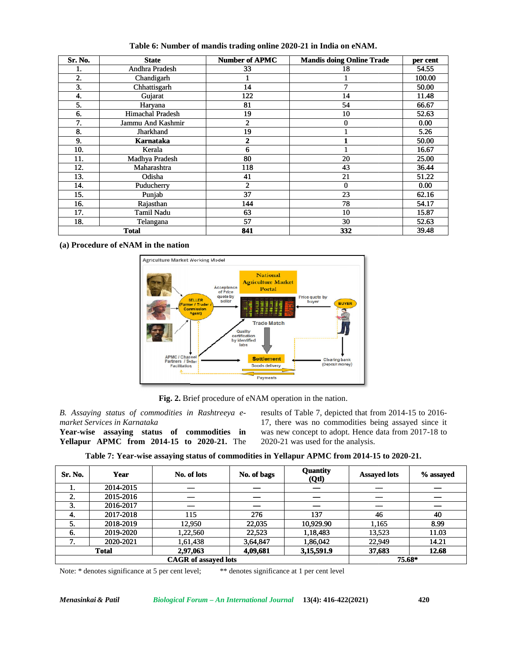| <b>Number of APMC</b><br><b>State</b><br><b>Mandis doing Online Trade</b><br>per cent<br>Andhra Pradesh<br>33<br>54.55<br>18<br>1.<br>2.<br>100.00<br>Chandigarh<br>1<br>1<br>3.<br>7<br>50.00<br>Chhattisgarh<br>14<br>122<br>14<br>4.<br>11.48<br>Gujarat<br>5.<br>81<br>54<br>Haryana<br>66.67<br><b>Himachal Pradesh</b><br>19<br>52.63<br>6.<br>10<br>7.<br>2<br>Jammu And Kashmir<br>0<br>0.00<br>$\overline{8}$ .<br>Jharkhand<br>19<br>5.26<br>$\mathbf{1}$<br>9.<br>2<br>50.00<br>Karnataka<br>1<br>10.<br>Kerala<br>6<br>$\mathbf{1}$<br>16.67<br>11.<br>Madhya Pradesh<br>80<br>20<br>25.00<br>12.<br>36.44<br>Maharashtra<br>118<br>43<br>13.<br>51.22<br>Odisha<br>41<br>21<br>$\overline{c}$<br>14.<br>$\bf{0}$<br>0.00<br>Puducherry<br>37<br>23<br>62.16<br>15.<br>Punjab<br>16.<br>144<br>78<br>54.17<br>Rajasthan<br>17.<br><b>Tamil Nadu</b><br>63<br>10<br>15.87<br>57<br>18.<br>30<br>52.63<br>Telangana<br>841<br>332<br>39.48<br><b>Total</b><br>(a) Procedure of eNAM in the nation<br>Agriculture Market Working Model<br><b>National</b><br><b>Agriculture Market</b><br>Acceptance<br>Portal<br>of Price<br>quote by<br>Price quote by<br><b>SELLER</b><br>seller<br>buyer<br><b>BUYER</b><br>armer / Trader<br>Commission<br>Agent)<br><b>Trade Match</b><br><b>Quality</b><br>certification<br>by identified<br>labs<br><b>APMC / Channel</b><br><b>Settlement</b><br><b>Clearing bank</b><br>Partners / Seller<br>(Deposit money)<br>Goods delivery<br><b>Facilitation</b><br><b>Payments</b><br>Fig. 2. Brief procedure of eNAM operation in the nation.<br>B. Assaying status of commodities in Rashtreeya e- results of Table 7, depicted that from 2014-15 to 2016-<br>17, there was no commodities being assayed since it<br>market Services in Karnataka<br>was new concept to adopt. Hence data from 2017-18 to<br>Year-wise assaying status of commodities in<br>Yellapur APMC from 2014-15 to 2020-21. The<br>2020-21 was used for the analysis.<br>Table 7: Year-wise assaying status of commodities in Yellapur APMC from 2014-15 to 2020-21.<br><b>Quantity</b><br>No. of lots<br>No. of bags<br><b>Assayed lots</b><br>Year<br>(Qtl)<br>2014-2015<br>2015-2016<br>$\overline{\phantom{0}}$<br>$\overline{\phantom{0}}$<br>2016-2017<br>2017-2018<br>276<br>137<br>115<br>46<br>40<br>2018-2019<br>12,950<br>22,035<br>10,929.90<br>1,165<br>8.99<br>1,22,560<br>22,523<br>13,523<br>11.03<br>2019-2020<br>1,18,483<br>7.<br>2020-2021<br>1,61,438<br>3,64,847<br>1,86,042<br>22,949<br>14.21<br>2,97,063<br>4,09,681<br>3,15,591.9<br>12.68<br><b>Total</b><br>37,683<br><b>CAGR</b> of assayed lots<br>75.68*<br>Note: * denotes significance at 5 per cent level;<br>** denotes significance at 1 per cent level |         | Table 6: Number of mandis trading online 2020-21 in India on eNAM. |  |           |
|---------------------------------------------------------------------------------------------------------------------------------------------------------------------------------------------------------------------------------------------------------------------------------------------------------------------------------------------------------------------------------------------------------------------------------------------------------------------------------------------------------------------------------------------------------------------------------------------------------------------------------------------------------------------------------------------------------------------------------------------------------------------------------------------------------------------------------------------------------------------------------------------------------------------------------------------------------------------------------------------------------------------------------------------------------------------------------------------------------------------------------------------------------------------------------------------------------------------------------------------------------------------------------------------------------------------------------------------------------------------------------------------------------------------------------------------------------------------------------------------------------------------------------------------------------------------------------------------------------------------------------------------------------------------------------------------------------------------------------------------------------------------------------------------------------------------------------------------------------------------------------------------------------------------------------------------------------------------------------------------------------------------------------------------------------------------------------------------------------------------------------------------------------------------------------------------------------------------------------------------------------------------------------------------------------------------------------------------------------------------------------------------------------------------------------------------------------------------------------------------------------------------------------------------------------------------------------------------------------------------------------------------------------------------------------------------------------------------------------------------------------------|---------|--------------------------------------------------------------------|--|-----------|
|                                                                                                                                                                                                                                                                                                                                                                                                                                                                                                                                                                                                                                                                                                                                                                                                                                                                                                                                                                                                                                                                                                                                                                                                                                                                                                                                                                                                                                                                                                                                                                                                                                                                                                                                                                                                                                                                                                                                                                                                                                                                                                                                                                                                                                                                                                                                                                                                                                                                                                                                                                                                                                                                                                                                                               | Sr. No. |                                                                    |  |           |
|                                                                                                                                                                                                                                                                                                                                                                                                                                                                                                                                                                                                                                                                                                                                                                                                                                                                                                                                                                                                                                                                                                                                                                                                                                                                                                                                                                                                                                                                                                                                                                                                                                                                                                                                                                                                                                                                                                                                                                                                                                                                                                                                                                                                                                                                                                                                                                                                                                                                                                                                                                                                                                                                                                                                                               |         |                                                                    |  |           |
|                                                                                                                                                                                                                                                                                                                                                                                                                                                                                                                                                                                                                                                                                                                                                                                                                                                                                                                                                                                                                                                                                                                                                                                                                                                                                                                                                                                                                                                                                                                                                                                                                                                                                                                                                                                                                                                                                                                                                                                                                                                                                                                                                                                                                                                                                                                                                                                                                                                                                                                                                                                                                                                                                                                                                               |         |                                                                    |  |           |
|                                                                                                                                                                                                                                                                                                                                                                                                                                                                                                                                                                                                                                                                                                                                                                                                                                                                                                                                                                                                                                                                                                                                                                                                                                                                                                                                                                                                                                                                                                                                                                                                                                                                                                                                                                                                                                                                                                                                                                                                                                                                                                                                                                                                                                                                                                                                                                                                                                                                                                                                                                                                                                                                                                                                                               |         |                                                                    |  |           |
|                                                                                                                                                                                                                                                                                                                                                                                                                                                                                                                                                                                                                                                                                                                                                                                                                                                                                                                                                                                                                                                                                                                                                                                                                                                                                                                                                                                                                                                                                                                                                                                                                                                                                                                                                                                                                                                                                                                                                                                                                                                                                                                                                                                                                                                                                                                                                                                                                                                                                                                                                                                                                                                                                                                                                               |         |                                                                    |  |           |
|                                                                                                                                                                                                                                                                                                                                                                                                                                                                                                                                                                                                                                                                                                                                                                                                                                                                                                                                                                                                                                                                                                                                                                                                                                                                                                                                                                                                                                                                                                                                                                                                                                                                                                                                                                                                                                                                                                                                                                                                                                                                                                                                                                                                                                                                                                                                                                                                                                                                                                                                                                                                                                                                                                                                                               |         |                                                                    |  |           |
|                                                                                                                                                                                                                                                                                                                                                                                                                                                                                                                                                                                                                                                                                                                                                                                                                                                                                                                                                                                                                                                                                                                                                                                                                                                                                                                                                                                                                                                                                                                                                                                                                                                                                                                                                                                                                                                                                                                                                                                                                                                                                                                                                                                                                                                                                                                                                                                                                                                                                                                                                                                                                                                                                                                                                               |         |                                                                    |  |           |
|                                                                                                                                                                                                                                                                                                                                                                                                                                                                                                                                                                                                                                                                                                                                                                                                                                                                                                                                                                                                                                                                                                                                                                                                                                                                                                                                                                                                                                                                                                                                                                                                                                                                                                                                                                                                                                                                                                                                                                                                                                                                                                                                                                                                                                                                                                                                                                                                                                                                                                                                                                                                                                                                                                                                                               |         |                                                                    |  |           |
|                                                                                                                                                                                                                                                                                                                                                                                                                                                                                                                                                                                                                                                                                                                                                                                                                                                                                                                                                                                                                                                                                                                                                                                                                                                                                                                                                                                                                                                                                                                                                                                                                                                                                                                                                                                                                                                                                                                                                                                                                                                                                                                                                                                                                                                                                                                                                                                                                                                                                                                                                                                                                                                                                                                                                               |         |                                                                    |  |           |
|                                                                                                                                                                                                                                                                                                                                                                                                                                                                                                                                                                                                                                                                                                                                                                                                                                                                                                                                                                                                                                                                                                                                                                                                                                                                                                                                                                                                                                                                                                                                                                                                                                                                                                                                                                                                                                                                                                                                                                                                                                                                                                                                                                                                                                                                                                                                                                                                                                                                                                                                                                                                                                                                                                                                                               |         |                                                                    |  |           |
|                                                                                                                                                                                                                                                                                                                                                                                                                                                                                                                                                                                                                                                                                                                                                                                                                                                                                                                                                                                                                                                                                                                                                                                                                                                                                                                                                                                                                                                                                                                                                                                                                                                                                                                                                                                                                                                                                                                                                                                                                                                                                                                                                                                                                                                                                                                                                                                                                                                                                                                                                                                                                                                                                                                                                               |         |                                                                    |  |           |
|                                                                                                                                                                                                                                                                                                                                                                                                                                                                                                                                                                                                                                                                                                                                                                                                                                                                                                                                                                                                                                                                                                                                                                                                                                                                                                                                                                                                                                                                                                                                                                                                                                                                                                                                                                                                                                                                                                                                                                                                                                                                                                                                                                                                                                                                                                                                                                                                                                                                                                                                                                                                                                                                                                                                                               |         |                                                                    |  |           |
|                                                                                                                                                                                                                                                                                                                                                                                                                                                                                                                                                                                                                                                                                                                                                                                                                                                                                                                                                                                                                                                                                                                                                                                                                                                                                                                                                                                                                                                                                                                                                                                                                                                                                                                                                                                                                                                                                                                                                                                                                                                                                                                                                                                                                                                                                                                                                                                                                                                                                                                                                                                                                                                                                                                                                               |         |                                                                    |  |           |
|                                                                                                                                                                                                                                                                                                                                                                                                                                                                                                                                                                                                                                                                                                                                                                                                                                                                                                                                                                                                                                                                                                                                                                                                                                                                                                                                                                                                                                                                                                                                                                                                                                                                                                                                                                                                                                                                                                                                                                                                                                                                                                                                                                                                                                                                                                                                                                                                                                                                                                                                                                                                                                                                                                                                                               |         |                                                                    |  |           |
|                                                                                                                                                                                                                                                                                                                                                                                                                                                                                                                                                                                                                                                                                                                                                                                                                                                                                                                                                                                                                                                                                                                                                                                                                                                                                                                                                                                                                                                                                                                                                                                                                                                                                                                                                                                                                                                                                                                                                                                                                                                                                                                                                                                                                                                                                                                                                                                                                                                                                                                                                                                                                                                                                                                                                               |         |                                                                    |  |           |
|                                                                                                                                                                                                                                                                                                                                                                                                                                                                                                                                                                                                                                                                                                                                                                                                                                                                                                                                                                                                                                                                                                                                                                                                                                                                                                                                                                                                                                                                                                                                                                                                                                                                                                                                                                                                                                                                                                                                                                                                                                                                                                                                                                                                                                                                                                                                                                                                                                                                                                                                                                                                                                                                                                                                                               |         |                                                                    |  |           |
|                                                                                                                                                                                                                                                                                                                                                                                                                                                                                                                                                                                                                                                                                                                                                                                                                                                                                                                                                                                                                                                                                                                                                                                                                                                                                                                                                                                                                                                                                                                                                                                                                                                                                                                                                                                                                                                                                                                                                                                                                                                                                                                                                                                                                                                                                                                                                                                                                                                                                                                                                                                                                                                                                                                                                               |         |                                                                    |  |           |
|                                                                                                                                                                                                                                                                                                                                                                                                                                                                                                                                                                                                                                                                                                                                                                                                                                                                                                                                                                                                                                                                                                                                                                                                                                                                                                                                                                                                                                                                                                                                                                                                                                                                                                                                                                                                                                                                                                                                                                                                                                                                                                                                                                                                                                                                                                                                                                                                                                                                                                                                                                                                                                                                                                                                                               |         |                                                                    |  |           |
|                                                                                                                                                                                                                                                                                                                                                                                                                                                                                                                                                                                                                                                                                                                                                                                                                                                                                                                                                                                                                                                                                                                                                                                                                                                                                                                                                                                                                                                                                                                                                                                                                                                                                                                                                                                                                                                                                                                                                                                                                                                                                                                                                                                                                                                                                                                                                                                                                                                                                                                                                                                                                                                                                                                                                               |         |                                                                    |  |           |
|                                                                                                                                                                                                                                                                                                                                                                                                                                                                                                                                                                                                                                                                                                                                                                                                                                                                                                                                                                                                                                                                                                                                                                                                                                                                                                                                                                                                                                                                                                                                                                                                                                                                                                                                                                                                                                                                                                                                                                                                                                                                                                                                                                                                                                                                                                                                                                                                                                                                                                                                                                                                                                                                                                                                                               |         |                                                                    |  |           |
|                                                                                                                                                                                                                                                                                                                                                                                                                                                                                                                                                                                                                                                                                                                                                                                                                                                                                                                                                                                                                                                                                                                                                                                                                                                                                                                                                                                                                                                                                                                                                                                                                                                                                                                                                                                                                                                                                                                                                                                                                                                                                                                                                                                                                                                                                                                                                                                                                                                                                                                                                                                                                                                                                                                                                               |         |                                                                    |  |           |
|                                                                                                                                                                                                                                                                                                                                                                                                                                                                                                                                                                                                                                                                                                                                                                                                                                                                                                                                                                                                                                                                                                                                                                                                                                                                                                                                                                                                                                                                                                                                                                                                                                                                                                                                                                                                                                                                                                                                                                                                                                                                                                                                                                                                                                                                                                                                                                                                                                                                                                                                                                                                                                                                                                                                                               |         |                                                                    |  |           |
|                                                                                                                                                                                                                                                                                                                                                                                                                                                                                                                                                                                                                                                                                                                                                                                                                                                                                                                                                                                                                                                                                                                                                                                                                                                                                                                                                                                                                                                                                                                                                                                                                                                                                                                                                                                                                                                                                                                                                                                                                                                                                                                                                                                                                                                                                                                                                                                                                                                                                                                                                                                                                                                                                                                                                               | Sr. No. |                                                                    |  | % assayed |
|                                                                                                                                                                                                                                                                                                                                                                                                                                                                                                                                                                                                                                                                                                                                                                                                                                                                                                                                                                                                                                                                                                                                                                                                                                                                                                                                                                                                                                                                                                                                                                                                                                                                                                                                                                                                                                                                                                                                                                                                                                                                                                                                                                                                                                                                                                                                                                                                                                                                                                                                                                                                                                                                                                                                                               | 1.      |                                                                    |  |           |
|                                                                                                                                                                                                                                                                                                                                                                                                                                                                                                                                                                                                                                                                                                                                                                                                                                                                                                                                                                                                                                                                                                                                                                                                                                                                                                                                                                                                                                                                                                                                                                                                                                                                                                                                                                                                                                                                                                                                                                                                                                                                                                                                                                                                                                                                                                                                                                                                                                                                                                                                                                                                                                                                                                                                                               | 2.      |                                                                    |  |           |
|                                                                                                                                                                                                                                                                                                                                                                                                                                                                                                                                                                                                                                                                                                                                                                                                                                                                                                                                                                                                                                                                                                                                                                                                                                                                                                                                                                                                                                                                                                                                                                                                                                                                                                                                                                                                                                                                                                                                                                                                                                                                                                                                                                                                                                                                                                                                                                                                                                                                                                                                                                                                                                                                                                                                                               | 3.      |                                                                    |  |           |
|                                                                                                                                                                                                                                                                                                                                                                                                                                                                                                                                                                                                                                                                                                                                                                                                                                                                                                                                                                                                                                                                                                                                                                                                                                                                                                                                                                                                                                                                                                                                                                                                                                                                                                                                                                                                                                                                                                                                                                                                                                                                                                                                                                                                                                                                                                                                                                                                                                                                                                                                                                                                                                                                                                                                                               | 4.      |                                                                    |  |           |
|                                                                                                                                                                                                                                                                                                                                                                                                                                                                                                                                                                                                                                                                                                                                                                                                                                                                                                                                                                                                                                                                                                                                                                                                                                                                                                                                                                                                                                                                                                                                                                                                                                                                                                                                                                                                                                                                                                                                                                                                                                                                                                                                                                                                                                                                                                                                                                                                                                                                                                                                                                                                                                                                                                                                                               | 5.      |                                                                    |  |           |
|                                                                                                                                                                                                                                                                                                                                                                                                                                                                                                                                                                                                                                                                                                                                                                                                                                                                                                                                                                                                                                                                                                                                                                                                                                                                                                                                                                                                                                                                                                                                                                                                                                                                                                                                                                                                                                                                                                                                                                                                                                                                                                                                                                                                                                                                                                                                                                                                                                                                                                                                                                                                                                                                                                                                                               | 6.      |                                                                    |  |           |
|                                                                                                                                                                                                                                                                                                                                                                                                                                                                                                                                                                                                                                                                                                                                                                                                                                                                                                                                                                                                                                                                                                                                                                                                                                                                                                                                                                                                                                                                                                                                                                                                                                                                                                                                                                                                                                                                                                                                                                                                                                                                                                                                                                                                                                                                                                                                                                                                                                                                                                                                                                                                                                                                                                                                                               |         |                                                                    |  |           |
|                                                                                                                                                                                                                                                                                                                                                                                                                                                                                                                                                                                                                                                                                                                                                                                                                                                                                                                                                                                                                                                                                                                                                                                                                                                                                                                                                                                                                                                                                                                                                                                                                                                                                                                                                                                                                                                                                                                                                                                                                                                                                                                                                                                                                                                                                                                                                                                                                                                                                                                                                                                                                                                                                                                                                               |         |                                                                    |  |           |
|                                                                                                                                                                                                                                                                                                                                                                                                                                                                                                                                                                                                                                                                                                                                                                                                                                                                                                                                                                                                                                                                                                                                                                                                                                                                                                                                                                                                                                                                                                                                                                                                                                                                                                                                                                                                                                                                                                                                                                                                                                                                                                                                                                                                                                                                                                                                                                                                                                                                                                                                                                                                                                                                                                                                                               |         |                                                                    |  |           |
| Menasinkai & Patil<br>Biological Forum - An International Journal 13(4): 416-422(2021)<br>420                                                                                                                                                                                                                                                                                                                                                                                                                                                                                                                                                                                                                                                                                                                                                                                                                                                                                                                                                                                                                                                                                                                                                                                                                                                                                                                                                                                                                                                                                                                                                                                                                                                                                                                                                                                                                                                                                                                                                                                                                                                                                                                                                                                                                                                                                                                                                                                                                                                                                                                                                                                                                                                                 |         |                                                                    |  |           |

**Table 6: Number of mandis trading online 2020-21 in India on eNAM.**



**Fig. 2.** Brief procedure of eNAM operation in the nation.

| Sr. No. | Year         | No. of lots | No. of bags | <b>Quantity</b><br>(Qtl) | <b>Assayed lots</b> | % assayed |
|---------|--------------|-------------|-------------|--------------------------|---------------------|-----------|
| ı.      | 2014-2015    |             |             |                          |                     |           |
| 2.      | 2015-2016    |             |             |                          |                     |           |
| 3.      | 2016-2017    |             |             | —                        |                     |           |
| -4.     | 2017-2018    | 115         | 276         | 137                      | 46                  | 40        |
| 5.      | 2018-2019    | 12,950      | 22,035      | 10,929.90                | 1,165               | 8.99      |
| 6.      | 2019-2020    | 1,22,560    | 22,523      | 1,18,483                 | 13,523              | 11.03     |
| 7<br>   | 2020-2021    | 1,61,438    | 3,64,847    | 1,86,042                 | 22,949              | 14.21     |
|         | <b>Total</b> | 2,97,063    | 4,09,681    | 3,15,591.9               | 37,683              | 12.68     |
|         |              | 75.68*      |             |                          |                     |           |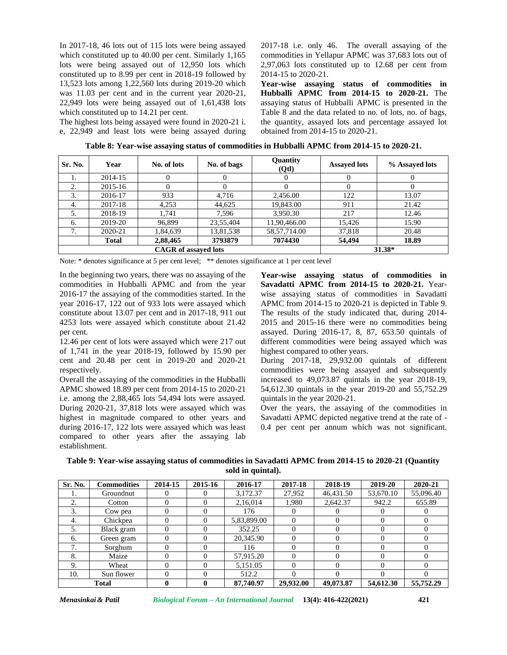In 2017-18, 46 lots out of 115 lots were being assayed which constituted up to 40.00 per cent. Similarly 1,165 lots were being assayed out of 12,950 lots which constituted up to 8.99 per cent in 2018-19 followed by 13,523 lots among 1,22,560 lots during 2019-20 which was 11.03 per cent and in the current year 2020-21, 22,949 lots were being assayed out of 1,61,438 lots which constituted up to 14.21 per cent.

The highest lots being assayed were found in 2020-21 i. e, 22,949 and least lots were being assayed during 2017-18 i.e. only 46. The overall assaying of the commodities in Yellapur APMC was 37,683 lots out of 2,97,063 lots constituted up to 12.68 per cent from 2014-15 to 2020-21.

**Year-wise assaying status of commodities in Hubballi APMC from 2014-15 to 2020-21.** The assaying status of Hubballi APMC is presented in the Table 8 and the data related to no. of lots, no. of bags, the quantity, assayed lots and percentage assayed lot obtained from 2014-15 to 2020-21.

| Sr. No. | Year         | No. of lots                 | No. of bags | Quantity<br>(Qtl) | <b>Assayed lots</b> | % Assayed lots |
|---------|--------------|-----------------------------|-------------|-------------------|---------------------|----------------|
|         | 2014-15      | 0                           | 0           | $\theta$          | $\theta$            | $\theta$       |
| 2.      | 2015-16      |                             |             |                   |                     |                |
| 3.      | 2016-17      | 933                         | 4,716       | 2,456.00          | 122                 | 13.07          |
| 4.      | 2017-18      | 4,253                       | 44,625      | 19,843.00         | 911                 | 21.42          |
| 5.      | 2018-19      | 1.741                       | 7,596       | 3.950.30          | 217                 | 12.46          |
| 6.      | 2019-20      | 96.899                      | 23,55,404   | 11,90,466.00      | 15,426              | 15.90          |
| 7.      | 2020-21      | 1,84,639                    | 13,81,538   | 58, 57, 714.00    | 37,818              | 20.48          |
|         | <b>Total</b> | 2,88,465                    | 3793879     | 7074430           | 54,494              | 18.89          |
|         |              | <b>CAGR</b> of assayed lots |             |                   | 31.38*              |                |

**Table 8: Year-wise assaying status of commodities in Hubballi APMC from 2014-15 to 2020-21.**

Note: \* denotes significance at 5 per cent level; \*\* denotes significance at 1 per cent level

In the beginning two years, there was no assaying of the commodities in Hubballi APMC and from the year 2016-17 the assaying of the commodities started. In the year 2016-17, 122 out of 933 lots were assayed which constitute about 13.07 per cent and in 2017-18, 911 out 4253 lots were assayed which constitute about 21.42 per cent.

12.46 per cent of lots were assayed which were 217 out of 1,741 in the year 2018-19, followed by 15.90 per cent and 20.48 per cent in 2019-20 and 2020-21 respectively.

Overall the assaying of the commodities in the Hubballi APMC showed 18.89 per cent from 2014-15 to 2020-21 i.e. among the 2,88,465 lots 54,494 lots were assayed. During 2020-21, 37,818 lots were assayed which was highest in magnitude compared to other years and during 2016-17, 122 lots were assayed which was least compared to other years after the assaying lab establishment.

**Year-wise assaying status of commodities in Savadatti APMC from 2014-15 to 2020-21.** Year wise assaying status of commodities in Savadatti APMC from 2014-15 to 2020-21 is depicted in Table 9. The results of the study indicated that, during 2014- 2015 and 2015-16 there were no commodities being assayed. During 2016-17, 8, 87, 653.50 quintals of different commodities were being assayed which was highest compared to other years.

During 2017-18, 29,932.00 quintals of different commodities were being assayed and subsequently increased to 49,073.87 quintals in the year 2018-19, 54,612.30 quintals in the year 2019-20 and 55,752.29 quintals in the year 2020-21.

Over the years, the assaying of the commodities in Savadatti APMC depicted negative trend at the rate of - 0.4 per cent per annum which was not significant.

**Table 9: Year-wise assaying status of commodities in Savadatti APMC from 2014-15 to 2020-21 (Quantity sold in quintal).**

| Sr. No. | <b>Commodities</b> | 2014-15 | 2015-16 | 2016-17     | 2017-18   | 2018-19   | 2019-20   | 2020-21    |
|---------|--------------------|---------|---------|-------------|-----------|-----------|-----------|------------|
|         | Groundnut          |         |         | 3,172.37    | 27,952    | 46,431.50 | 53,670.10 | 55,096.40  |
| 2.      | Cotton             |         |         | 2,16,014    | 1,980     | 2,642.37  | 942.2     | 655.89     |
| 3.      | Cow pea            |         |         | 176         |           |           |           |            |
| 4.      | Chickpea           |         |         | 5,83,899.00 |           |           |           |            |
| 5.      | Black gram         |         |         | 352.25      |           |           |           |            |
| 6.      | Green gram         |         |         | 20,345.90   |           |           |           |            |
| 7       | Sorghum            |         |         | 116         |           |           |           | 0          |
| 8.      | Maize              |         |         | 57,915.20   |           |           |           | 0          |
| 9.      | Wheat              |         |         | 5.151.05    |           |           |           | 0          |
| 10.     | Sun flower         |         |         | 512.2       |           |           |           | $^{\circ}$ |
|         | <b>Total</b>       |         | 0       | 87,740.97   | 29.932.00 | 49,073.87 | 54,612.30 | 55,752.29  |

*Menasinkai & Patil Biological Forum – An International Journal* **13(4): 416-422(2021) 421**